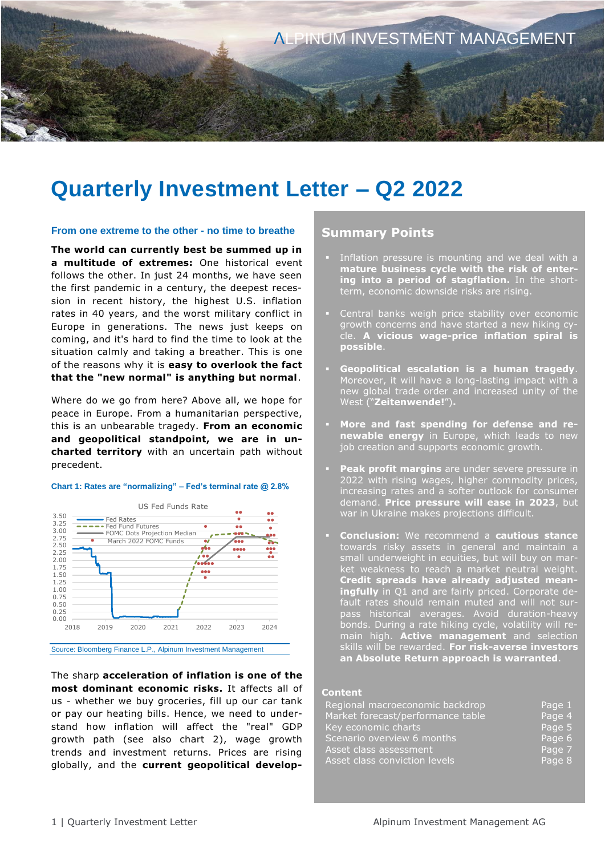

# **Quarterly Investment Letter – Q2 2022**

### **From one extreme to the other - no time to breathe**

**The world can currently best be summed up in a multitude of extremes:** One historical event follows the other. In just 24 months, we have seen the first pandemic in a century, the deepest recession in recent history, the highest U.S. inflation rates in 40 years, and the worst military conflict in Europe in generations. The news just keeps on coming, and it's hard to find the time to look at the situation calmly and taking a breather. This is one of the reasons why it is **easy to overlook the fact that the "new normal" is anything but normal**.

Where do we go from here? Above all, we hope for peace in Europe. From a humanitarian perspective, this is an unbearable tragedy. **From an economic and geopolitical standpoint, we are in uncharted territory** with an uncertain path without precedent.

### **Chart 1: Rates are "normalizing" – Fed's terminal rate @ 2.8%**



The sharp **acceleration of inflation is one of the most dominant economic risks.** It affects all of us - whether we buy groceries, fill up our car tank or pay our heating bills. Hence, we need to understand how inflation will affect the "real" GDP growth path (see also chart 2), wage growth trends and investment returns. Prices are rising globally, and the **current geopolitical develop-**

### **Summary Points**

- Inflation pressure is mounting and we deal with a **mature business cycle with the risk of entering into a period of stagflation.** In the shortterm, economic downside risks are rising.
- **EXEC** Central banks weigh price stability over economic growth concerns and have started a new hiking cycle. **A vicious wage-price inflation spiral is possible**.
- **Geopolitical escalation is a human tragedy**. Moreover, it will have a long-lasting impact with a new global trade order and increased unity of the West ("**Zeitenwende!**")**.**
- More and fast spending for defense and re**newable energy** in Europe, which leads to new job creation and supports economic growth.
- Peak profit margins are under severe pressure in 2022 with rising wages, higher commodity prices, increasing rates and a softer outlook for consumer demand. **Price pressure will ease in 2023**, but war in Ukraine makes projections difficult.
- **Conclusion:** We recommend a **cautious stance**  towards risky assets in general and maintain a small underweight in equities, but will buy on market weakness to reach a market neutral weight. **Credit spreads have already adjusted meaningfully** in Q1 and are fairly priced. Corporate default rates should remain muted and will not surpass historical averages. Avoid duration-heavy bonds. During a rate hiking cycle, volatility will remain high. **Active management** and selection skills will be rewarded. **For risk-averse investors an Absolute Return approach is warranted**.

#### **Content**

| Regional macroeconomic backdrop   | Page 1 |
|-----------------------------------|--------|
| Market forecast/performance table | Page 4 |
| Key economic charts               | Page 5 |
| Scenario overview 6 months        | Page 6 |
| Asset class assessment            | Page 7 |
| Asset class conviction levels     | Page 8 |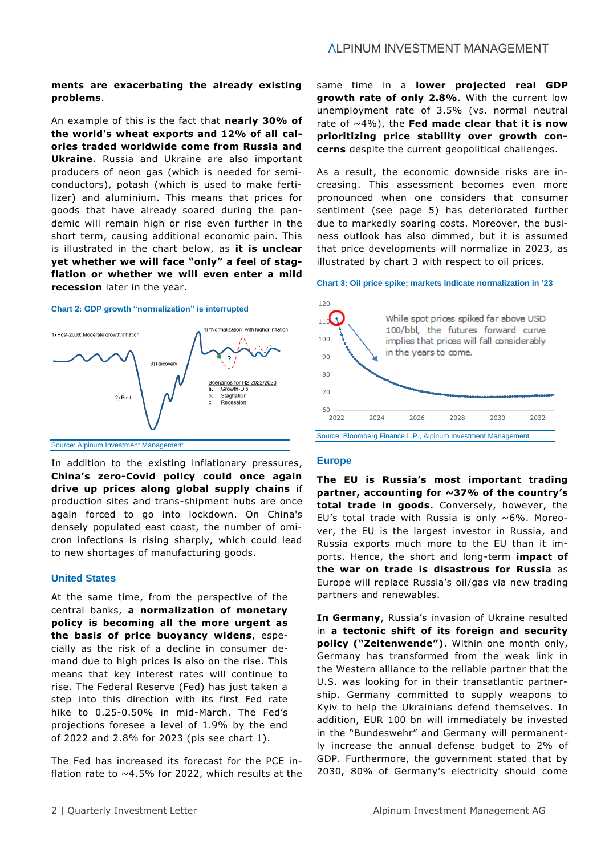### **ALPINUM INVESTMENT MANAGEMENT**

### **ments are exacerbating the already existing problems**.

An example of this is the fact that **nearly 30% of the world's wheat exports and 12% of all calories traded worldwide come from Russia and Ukraine**. Russia and Ukraine are also important producers of neon gas (which is needed for semiconductors), potash (which is used to make fertilizer) and aluminium. This means that prices for goods that have already soared during the pandemic will remain high or rise even further in the short term, causing additional economic pain. This is illustrated in the chart below, as **it is unclear yet whether we will face "only" a feel of stagflation or whether we will even enter a mild recession** later in the year.

### **Chart 2: GDP growth "normalization" is interrupted**



Source: Alpinum Investment Management

In addition to the existing inflationary pressures, **China's zero-Covid policy could once again drive up prices along global supply chains** if production sites and trans-shipment hubs are once again forced to go into lockdown. On China's densely populated east coast, the number of omicron infections is rising sharply, which could lead to new shortages of manufacturing goods.

### **United States**

At the same time, from the perspective of the central banks, **a normalization of monetary policy is becoming all the more urgent as the basis of price buoyancy widens**, especially as the risk of a decline in consumer demand due to high prices is also on the rise. This means that key interest rates will continue to rise. The Federal Reserve (Fed) has just taken a step into this direction with its first Fed rate hike to 0.25-0.50% in mid-March. The Fed's projections foresee a level of 1.9% by the end of 2022 and 2.8% for 2023 (pls see chart 1).

The Fed has increased its forecast for the PCE inflation rate to  $~\sim$  4.5% for 2022, which results at the same time in a **lower projected real GDP growth rate of only 2.8%**. With the current low unemployment rate of 3.5% (vs. normal neutral rate of ~4%), the **Fed made clear that it is now prioritizing price stability over growth concerns** despite the current geopolitical challenges.

As a result, the economic downside risks are increasing. This assessment becomes even more pronounced when one considers that consumer sentiment (see page 5) has deteriorated further due to markedly soaring costs. Moreover, the business outlook has also dimmed, but it is assumed that price developments will normalize in 2023, as illustrated by chart 3 with respect to oil prices.

### **Chart 3: Oil price spike; markets indicate normalization in '23**



### **Europe**

**The EU is Russia's most important trading partner, accounting for ~37% of the country's total trade in goods.** Conversely, however, the EU's total trade with Russia is only  $\sim 6\%$ . Moreover, the EU is the largest investor in Russia, and Russia exports much more to the EU than it imports. Hence, the short and long-term **impact of the war on trade is disastrous for Russia** as Europe will replace Russia's oil/gas via new trading partners and renewables.

**In Germany**, Russia's invasion of Ukraine resulted in **a tectonic shift of its foreign and security policy ("Zeitenwende")**. Within one month only, Germany has transformed from the weak link in the Western alliance to the reliable partner that the U.S. was looking for in their transatlantic partnership. Germany committed to supply weapons to Kyiv to help the Ukrainians defend themselves. In addition, EUR 100 bn will immediately be invested in the "Bundeswehr" and Germany will permanently increase the annual defense budget to 2% of GDP. Furthermore, the government stated that by 2030, 80% of Germany's electricity should come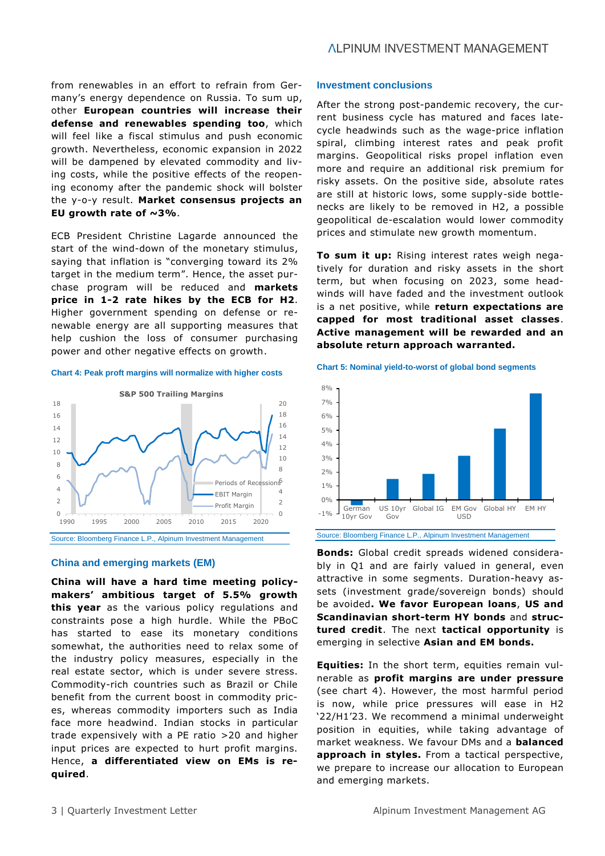from renewables in an effort to refrain from Germany's energy dependence on Russia. To sum up, other **European countries will increase their defense and renewables spending too**, which will feel like a fiscal stimulus and push economic growth. Nevertheless, economic expansion in 2022 will be dampened by elevated commodity and living costs, while the positive effects of the reopening economy after the pandemic shock will bolster the y-o-y result. **Market consensus projects an EU growth rate of ~3%**.

ECB President Christine Lagarde announced the start of the wind-down of the monetary stimulus, saying that inflation is "converging toward its 2% target in the medium term". Hence, the asset purchase program will be reduced and **markets price in 1-2 rate hikes by the ECB for H2**. Higher government spending on defense or renewable energy are all supporting measures that help cushion the loss of consumer purchasing power and other negative effects on growth.

### **Chart 4: Peak proft margins will normalize with higher costs**



### **China and emerging markets (EM)**

**China will have a hard time meeting policymakers' ambitious target of 5.5% growth this year** as the various policy regulations and constraints pose a high hurdle. While the PBoC has started to ease its monetary conditions somewhat, the authorities need to relax some of the industry policy measures, especially in the real estate sector, which is under severe stress. Commodity-rich countries such as Brazil or Chile benefit from the current boost in commodity prices, whereas commodity importers such as India face more headwind. Indian stocks in particular trade expensively with a PE ratio >20 and higher input prices are expected to hurt profit margins. Hence, **a differentiated view on EMs is required**.

### **Investment conclusions**

After the strong post-pandemic recovery, the current business cycle has matured and faces latecycle headwinds such as the wage-price inflation spiral, climbing interest rates and peak profit margins. Geopolitical risks propel inflation even more and require an additional risk premium for risky assets. On the positive side, absolute rates are still at historic lows, some supply-side bottlenecks are likely to be removed in H2, a possible geopolitical de-escalation would lower commodity prices and stimulate new growth momentum.

**To sum it up:** Rising interest rates weigh negatively for duration and risky assets in the short term, but when focusing on 2023, some headwinds will have faded and the investment outlook is a net positive, while **return expectations are capped for most traditional asset classes**. **Active management will be rewarded and an absolute return approach warranted.**





Source: Bloomberg Finance L.P., Alpinum Investment Management

**Bonds:** Global credit spreads widened considerably in Q1 and are fairly valued in general, even attractive in some segments. Duration-heavy assets (investment grade/sovereign bonds) should be avoided**. We favor European loans**, **US and Scandinavian short-term HY bonds** and **structured credit**. The next **tactical opportunity** is emerging in selective **Asian and EM bonds.**

**Equities:** In the short term, equities remain vulnerable as **profit margins are under pressure** (see chart 4). However, the most harmful period is now, while price pressures will ease in H2 '22/H1'23. We recommend a minimal underweight position in equities, while taking advantage of market weakness. We favour DMs and a **balanced approach in styles.** From a tactical perspective, we prepare to increase our allocation to European and emerging markets.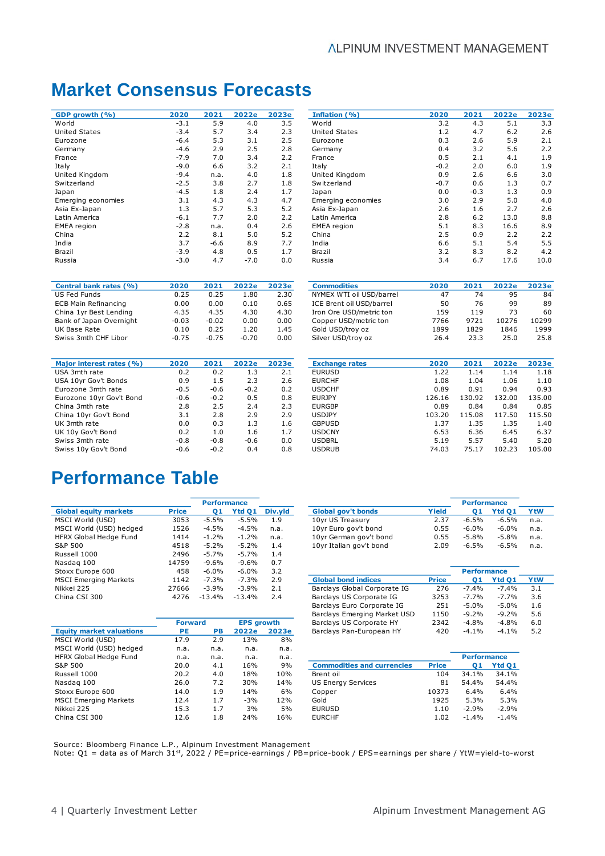## **Market Consensus Forecasts**

| GDP growth (%)     | 2020        | 2021   | 2022e | 2023e |
|--------------------|-------------|--------|-------|-------|
| World              | $-3.1$      | 5.9    | 4.0   | 3.5   |
| United States      | $-3.4$      | 5.7    | 3.4   | 2.3   |
| Eurozone           | $-6.4$      | 5.3    | 3.1   | 2.5   |
| Germany            | $-4.6$      | 2.9    | 2.5   | 2.8   |
| France             | $-7.9$      | 7.0    | 3.4   | 2.2   |
| Italy              | $-9.0$      | 6.6    | 3.2   | 2.1   |
| United Kingdom     | $-9.4$      | n.a.   | 4.0   | 1.8   |
| Switzerland        | $-2.5$      | 3.8    | 2.7   | 1.8   |
| Japan              | $-4.5$      | 1.8    | 2.4   | 1.7   |
| Emerging economies | 3.1         | 4.3    | 4.3   | 4.7   |
| Asia Ex-Japan      | 1.3         | 5.7    | 5.3   | 5.2   |
| Latin America      | $-6.1$      | 7.7    | 2.0   | 2.2   |
| <b>EMEA</b> region | $-2.8$      | n.a.   | 0.4   | 2.6   |
| China              | 2.2         | 8.1    | 5.0   | 5.2   |
| India              | 3.7         | $-6.6$ | 8.9   | 7.7   |
| Brazil             | $-3.9$      | 4.8    | 0.5   | 1.7   |
| Ruccia             | $-3$ $\cap$ | 47     | -70   | n n   |

| Central bank rates (%)      | 2020    | 2021    | 2022e   | 2023e |
|-----------------------------|---------|---------|---------|-------|
| <b>US Fed Funds</b>         | 0.25    | 0.25    | 1.80    | 2.30  |
| <b>ECB Main Refinancing</b> | 0.00    | 0.00    | 0.10    | 0.65  |
| China 1yr Best Lending      | 4.35    | 4.35    | 4.30    | 4.30  |
| Bank of Japan Overnight     | $-0.03$ | $-0.02$ | 0.00    | 0.00  |
| UK Base Rate                | 0.10    | 0.25    | 1.20    | 1.45  |
| Swiss 3mth CHF Libor        | $-0.75$ | $-0.75$ | $-0.70$ | 0.00  |

| GDP growth (%)       | 2020   | 2021   | 2022e  | 2023e | Inflation (%)      | 2020   | 2021   | 2022e | 2023e |
|----------------------|--------|--------|--------|-------|--------------------|--------|--------|-------|-------|
| World                | $-3.1$ | 5.9    | 4.0    | 3.5   | World              | 3.2    | 4.3    | 5.1   | 3.3   |
| <b>United States</b> | $-3.4$ | 5.7    | 3.4    | 2.3   | United States      | 1.2    | 4.7    | 6.2   | 2.6   |
| Eurozone             | $-6.4$ | 5.3    | 3.1    | 2.5   | Eurozone           | 0.3    | 2.6    | 5.9   | 2.1   |
| Germany              | -4.6   | 2.9    | 2.5    | 2.8   | Germany            | 0.4    | 3.2    | 5.6   | 2.2   |
| France               | $-7.9$ | 7.0    | 3.4    | 2.2   | France             | 0.5    | 2.1    | 4.1   | 1.9   |
| Italy                | $-9.0$ | 6.6    | 3.2    | 2.1   | Italy              | $-0.2$ | 2.0    | 6.0   | 1.9   |
| United Kingdom       | $-9.4$ | n.a.   | 4.0    | 1.8   | United Kingdom     | 0.9    | 2.6    | 6.6   | 3.0   |
| Switzerland          | $-2.5$ | 3.8    | 2.7    | 1.8   | Switzerland        | $-0.7$ | 0.6    | 1.3   | 0.7   |
| Japan                | $-4.5$ | 1.8    | 2.4    | 1.7   | Japan              | 0.0    | $-0.3$ | 1.3   | 0.9   |
| Emerging economies   | 3.1    | 4.3    | 4.3    | 4.7   | Emerging economies | 3.0    | 2.9    | 5.0   | 4.0   |
| Asia Ex-Japan        | 1.3    | 5.7    | 5.3    | 5.2   | Asia Ex-Japan      | 2.6    | 1.6    | 2.7   | 2.6   |
| Latin America        | $-6.1$ | 7.7    | 2.0    | 2.2   | Latin America      | 2.8    | 6.2    | 13.0  | 8.8   |
| <b>EMEA</b> region   | $-2.8$ | n.a.   | 0.4    | 2.6   | EMEA region        | 5.1    | 8.3    | 16.6  | 8.9   |
| China                | 2.2    | 8.1    | 5.0    | 5.2   | China              | 2.5    | 0.9    | 2.2   | 2.2   |
| India                | 3.7    | $-6.6$ | 8.9    | 7.7   | India              | 6.6    | 5.1    | 5.4   | 5.5   |
| Brazil               | $-3.9$ | 4.8    | 0.5    | 1.7   | Brazil             | 3.2    | 8.3    | 8.2   | 4.2   |
| Russia               | $-3.0$ | 4.7    | $-7.0$ | 0.0   | Russia             | 3.4    | 6.7    | 17.6  | 10.0  |

| Central bank rates (%)  | 2020    | 2021    | 2022e   | 2023e | <b>Commodities</b>       | 2020 | 2021 | 2022e | 2023e |
|-------------------------|---------|---------|---------|-------|--------------------------|------|------|-------|-------|
| US Fed Funds            | 0.25    | 0.25    | .80ء    | 2.30  | NYMEX WTI oil USD/barrel | 47   | 74   | 95    | 84    |
| ECB Main Refinancing    | 0.00    | 0.00    | 0.10    | 0.65  | ICE Brent oil USD/barrel | 50   | 76   | 99    | 89    |
| China 1yr Best Lending  | 4.35    | 4.35    | 4.30    | 4.30  | Iron Ore USD/metric ton  | 159  | 119  |       | 60    |
| Bank of Japan Overnight | $-0.03$ | $-0.02$ | 0.00    | 0.00  | Copper USD/metric ton    | 7766 | 9721 | 10276 | 10299 |
| UK Base Rate            | 0.10    | 0.25    | ۔ 20۔   | 1.45  | Gold USD/troy oz         | 1899 | 1829 | 1846  | 1999  |
| Swiss 3mth CHF Libor    | $-0.75$ | $-0.75$ | $-0.70$ | 0.00  | Silver USD/troy oz       | 26.4 | 23.3 | 25.0  | 25.8  |
|                         |         |         |         |       |                          |      |      |       |       |

| Major interest rates (%) | 2020   | 2021   | 2022e  | 2023e |
|--------------------------|--------|--------|--------|-------|
| USA 3mth rate            | 0.2    | 0.2    | 1.3    | 2.1   |
| USA 10yr Gov't Bonds     | 0.9    | 1.5    | 2.3    | 2.6   |
| Eurozone 3mth rate       | $-0.5$ | $-0.6$ | $-0.2$ | 0.2   |
| Eurozone 10yr Gov't Bond | $-0.6$ | $-0.2$ | 0.5    | 0.8   |
| China 3mth rate          | 2.8    | 2.5    | 2.4    | 2.3   |
| China 10yr Gov't Bond    | 3.1    | 2.8    | 2.9    | 2.9   |
| UK 3mth rate             | 0.0    | 0.3    | 1.3    | 1.6   |
| UK 10y Gov't Bond        | 0.2    | 1.0    | 1.6    | 1.7   |
| Swiss 3mth rate          | $-0.8$ | $-0.8$ | $-0.6$ | 0.0   |
| Swiss 10y Gov't Bond     | $-0.6$ | $-0.2$ | 0.4    | 0.8   |
|                          |        |        |        |       |

| Major interest rates (%) | 2020   | 2021   | 2022e  | 2023e | <b>Exchange rates</b> | 2020   | 2021   | 2022e  | 2023e  |
|--------------------------|--------|--------|--------|-------|-----------------------|--------|--------|--------|--------|
| USA 3mth rate            | 0.2    | 0.2    | 1.3    | 2.1   | <b>EURUSD</b>         | 1.22   | 1.14   | 1.14   | 1.18   |
| USA 10yr Gov't Bonds     | 0.9    | 1.5    | 2.3    | 2.6   | <b>EURCHF</b>         | 1.08   | 1.04   | 1.06   | 1.10   |
| Eurozone 3mth rate       | $-0.5$ | $-0.6$ | $-0.2$ | 0.2   | <b>USDCHF</b>         | 0.89   | 0.91   | 0.94   | 0.93   |
| Eurozone 10yr Gov't Bond | $-0.6$ | $-0.2$ | 0.5    | 0.8   | <b>EURJPY</b>         | 126.16 | 130.92 | 132.00 | 135.00 |
| China 3mth rate          | 2.8    | 2.5    | 2.4    | 2.3   | <b>EURGBP</b>         | 0.89   | 0.84   | 0.84   | 0.85   |
| China 10yr Gov't Bond    | 3.1    | 2.8    | 2.9    | 2.9   | USDJPY                | 103.20 | 115.08 | 117.50 | 115.50 |
| UK 3mth rate             | 0.0    | 0.3    | 1.3    | 1.6   | <b>GBPUSD</b>         | 1.37   | 1.35   | 1.35   | 1.40   |
| UK 10y Gov't Bond        | 0.2    | 1.0    | 1.6    | 1.7   | USDCNY                | 6.53   | 6.36   | 6.45   | 6.37   |
| Swiss 3mth rate          | $-0.8$ | $-0.8$ | $-0.6$ | 0.0   | USDBRL                | 5.19   | 5.57   | 5.40   | 5.20   |
| Swiss 10y Gov't Bond     | $-0.6$ | $-0.2$ | 0.4    | 0.8   | <b>USDRUB</b>         | 74.03  | 75.17  | 102.23 | 105.00 |
|                          |        |        |        |       |                       |        |        |        |        |

## **Performance Table**

|                              |              | <b>Performance</b> |          |         | <b>Performance</b>           |              |                    |          |            |
|------------------------------|--------------|--------------------|----------|---------|------------------------------|--------------|--------------------|----------|------------|
| <b>Global equity markets</b> | <b>Price</b> | 01                 | Ytd Q1   | Div.yld | <b>Global gov't bonds</b>    | Yield        | 01                 | Ytd Q1   | <b>YtW</b> |
| MSCI World (USD)             | 3053         | -5.5%              | $-5.5%$  | 1.9     | 10yr US Treasury             | 2.37         | -6.5%              | -6.5%    | n.a.       |
| MSCI World (USD) hedged      | 1526         | -4.5%              | $-4.5%$  | n.a.    | 10yr Euro gov't bond         | 0.55         | $-6.0\%$           | -6.0%    | n.a.       |
| HFRX Global Hedge Fund       | 1414         | $-1.2\%$           | $-1.2%$  | n.a.    | 10yr German gov't bond       | 0.55         | $-5.8%$            | -5.8%    | n.a.       |
| S&P 500                      | 4518         | $-5.2\%$           | $-5.2\%$ | 1.4     | 10yr Italian gov't bond      | 2.09         | -6.5%              | -6.5%    | n.a.       |
| Russell 1000                 | 2496         | $-5.7%$            | $-5.7%$  | 1.4     |                              |              |                    |          |            |
| Nasdag 100                   | 14759        | $-9.6%$            | $-9.6%$  | 0.7     |                              |              |                    |          |            |
| Stoxx Europe 600             | 458          | $-6.0\%$           | -6.0%    | 3.2     |                              |              | <b>Performance</b> |          |            |
| <b>MSCI Emerging Markets</b> | 1142         | $-7.3%$            | $-7.3%$  | 2.9     | <b>Global bond indices</b>   | <b>Price</b> | 01                 | Ytd Q1   | <b>YtW</b> |
| Nikkei 225                   | 27666        | $-3.9%$            | $-3.9%$  | 2.1     | Barclays Global Corporate IG | 276          | $-7.4\%$           | $-7.4\%$ | 3.1        |
| China CSI 300                | 4276         | $-13.4%$           | $-13.4%$ | 2.4     | Barclays US Corporate IG     | 3253         | $-7.7%$            | $-7.7%$  | 3.6        |

| Performance |         |         |                           |       |         |         |            |  |  |
|-------------|---------|---------|---------------------------|-------|---------|---------|------------|--|--|
| 01          | Ytd Q1  | Div.vld | <b>Global gov't bonds</b> | Yield | 01      | Ytd O1  | <b>YtW</b> |  |  |
| $-5.5%$     | $-5.5%$ | 1.9     | 10yr US Treasury          | 2.37  | $-6.5%$ | $-6.5%$ | n.a.       |  |  |
| $-4.5%$     | $-4.5%$ | n.a.    | 10yr Euro gov't bond      | 0.55  | $-6.0%$ | $-6.0%$ | n.a.       |  |  |
| $-1.2%$     | $-1.2%$ | n.a.    | 10yr German gov't bond    | 0.55  | $-5.8%$ | $-5.8%$ | n.a.       |  |  |
| $-5.2%$     | $-5.2%$ | 1.4     | 10yr Italian gov't bond   | 2.09  | $-6.5%$ | $-6.5%$ | n.a.       |  |  |

| Stoxx Europe 600                | 458            | $-6.0\%$ | $-6.0\%$          | 3.2   |                              |              | <b>Performance</b> |          |            |  |
|---------------------------------|----------------|----------|-------------------|-------|------------------------------|--------------|--------------------|----------|------------|--|
| MSCI Emerging Markets           | 1142           | -7.3%    | $-7.3%$           | 2.9   | <b>Global bond indices</b>   | <b>Price</b> | 01                 | Ytd 01   | <b>YtW</b> |  |
| Nikkei 225                      | 27666          | $-3.9%$  | $-3.9%$           | 2.1   | Barclays Global Corporate IG | 276          | $-7.4%$            | $-7.4%$  | 3.1        |  |
| China CSI 300                   | 4276           | $-13.4%$ | $-13.4%$          | 2.4   | Barclays US Corporate IG     | 3253         | $-7.7%$            | $-7.7%$  | 3.6        |  |
|                                 |                |          |                   |       | Barclays Euro Corporate IG   | 251          | $-5.0%$            | $-5.0\%$ | 1.6        |  |
|                                 |                |          |                   |       | Barclays Emerging Market USD | 1150         | $-9.2\%$           | $-9.2%$  | 5.6        |  |
|                                 | <b>Forward</b> |          | <b>EPS</b> arowth |       | Barclays US Corporate HY     | 2342         | $-4.8%$            | $-4.8%$  | 6.0        |  |
| <b>Equity market valuations</b> | РE             | PВ       | 2022e             | 2023e | Barclays Pan-European HY     | 420          | $-4.1%$            | $-4.1\%$ | 5.2        |  |

|                                 | <b>Forward</b> |      | <b>EPS</b> growth |       | Barclays US Corporate HY          | 2342         | $-4.8%$            | -4.8%   | 6.0 |
|---------------------------------|----------------|------|-------------------|-------|-----------------------------------|--------------|--------------------|---------|-----|
| <b>Equity market valuations</b> | <b>PE</b>      | PВ   | 2022e             | 2023e | Barclays Pan-European HY          | 420          | -4.1%              | -4.1%   | 5.2 |
| MSCI World (USD)                | 17.9           | 2.9  | 13%               | 8%    |                                   |              |                    |         |     |
| MSCI World (USD) hedged         | n.a.           | n.a. | n.a.              | n.a.  |                                   |              |                    |         |     |
| HFRX Global Hedge Fund          | n.a.           | n.a. | n.a.              | n.a.  |                                   |              | <b>Performance</b> |         |     |
| S&P 500                         | 20.0           | 4.1  | 16%               | 9%    | <b>Commodities and currencies</b> | <b>Price</b> | 01                 | Ytd Q1  |     |
| Russell 1000                    | 20.2           | 4.0  | 18%               | 10%   | Brent oil                         | 104          | 34.1%              | 34.1%   |     |
| Nasdag 100                      | 26.0           | 7.2  | 30%               | 14%   | <b>US Energy Services</b>         | 81           | 54.4%              | 54.4%   |     |
| Stoxx Europe 600                | 14.0           | 1.9  | 14%               | 6%    | Copper                            | 10373        | 6.4%               | 6.4%    |     |
| <b>MSCI Emerging Markets</b>    | 12.4           | 1.7  | $-3%$             | 12%   | Gold                              | 1925         | 5.3%               | 5.3%    |     |
| Nikkei 225                      | 15.3           | 1.7  | 3%                | 5%    | <b>EURUSD</b>                     | 1.10         | $-2.9%$            | $-2.9%$ |     |
| China CSI 300                   | 12.6           | 1.8  | 24%               | 16%   | <b>EURCHF</b>                     | 1.02         | $-1.4\%$           | -1.4%   |     |
|                                 |                |      |                   |       |                                   |              |                    |         |     |

|                                   |              | <b>Performance</b> |         |
|-----------------------------------|--------------|--------------------|---------|
| <b>Commodities and currencies</b> | <b>Price</b> | 01                 | Ytd O1  |
| Brent oil                         | 104          | 34.1%              | 34.1%   |
| <b>US Energy Services</b>         | 81           | 54.4%              | 54.4%   |
| Copper                            | 10373        | 6.4%               | 6.4%    |
| Gold                              | 1925         | 5.3%               | 5.3%    |
| <b>EURUSD</b>                     | 1.10         | $-2.9%$            | $-2.9%$ |
| <b>EURCHF</b>                     | 1.02         | $-1.4%$            | $-1.4%$ |

Source: Bloomberg Finance L.P., Alpinum Investment Management Note: Q1 = data as of March 31st, 2022 / PE=price-earnings / PB=price-book / EPS=earnings per share / YtW=yield-to-worst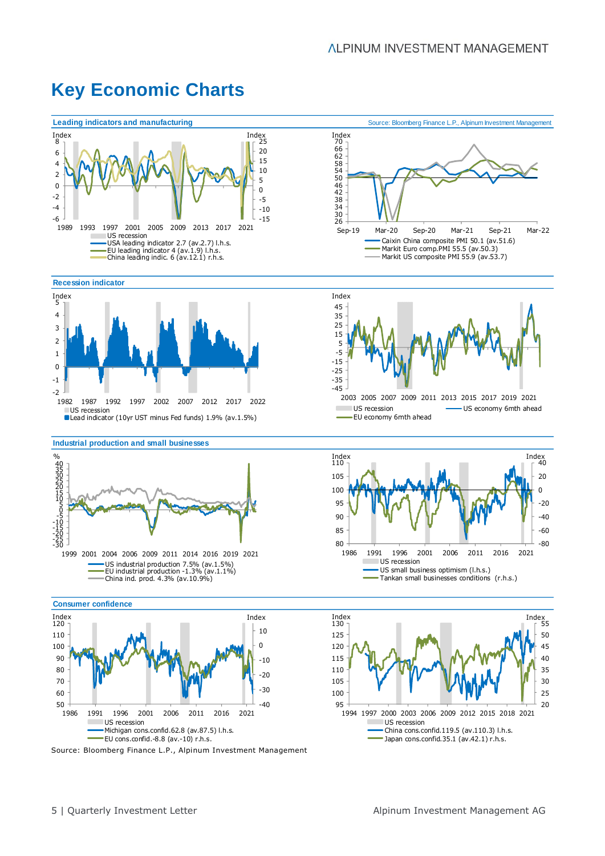#### Source: Bloomberg Finance L.P., Alpinum Investment Management **Leading indicators and manufacturing Source: Bloomberg Finance L.P., Alpinum Investment Management Recession indicator Industrial production and small businesses Consumer confidence** -15  $-10$ -5  $\Omega$ 5 10 15 20 Index<br> $25$ -6 -4 -2 0 2 4 6 Index<br> $8<sub>1</sub>$ 1989 1993 1997 2001 2005 2009 2013 2017 2021 Index Index US recession USA leading indicator 2.7 (av.2.7) l.h.s. EU leading indicator 4 (av.1.9) l.h.s. China leading indic. 6 (av.12.1) r.h.s. -45 -35 -25 -15 -5 5 15 25 35 45 2003 2005 2007 2009 2011 2013 2015 2017 2019 2021 Index US recession US economy 6mth ahead EU economy 6mth ahead 40<br>30<br>2015<br>2015<br>2015<br>2015<br>30 1999 2001 2004 2006 2009 2011 2014 2016 2019 2021  $\frac{0}{0}$ US industrial production 7.5% (av.1.5%) EU industrial production -1.3% (av.1.1%) China ind. prod. 4.3% (av.10.9%) -80 -60 -40  $-20$  $\Omega$ 20 40 Index Index  $80$ 85 90 95 100 105 110 1986 1991 1996 2001 2006 2011 2016 2021 US recession US small business optimism (l.h.s.) Tankan small businesses conditions (r.h.s.) -40 -30  $-20$  $-10$ 0 10 50 60 70 80 90 100 110 Index<br> $120 -$ 1986 1991 1996 2001 2006 2011 2016 2021 Index Index US recession Michigan cons.confid.62.8 (av.87.5) l.h.s. EU cons.confid.-8.8 (av.-10) r.h.s. 20 25 30 35 40 45 50 55 Index Index 95 100 105 110 115 120 125 Index<br> $130 -$ 1994 1997 2000 2003 2006 2009 2012 2015 2018 2021 US recession China cons.confid.119.5 (av.110.3) l.h.s. Japan cons.confid.35.1 (av.42.1) r.h.s. -2 -1  $\Omega$ 1 2 3 4 5 Index 1982 1987 1992 1997 2002 2007 2012 2017 2022 US recession Lead indicator (10yr UST minus Fed funds) 1.9% (av.1.5%) 30<br>26 42<br>38<br>34 62<br>58<br>54<br>50<br>46 Index<br>| 70<br>| 66 Sep-19 Mar-20 Sep-20 Mar-21 Sep-21 Mar-22 Caixin China composite PMI 50.1 (av.51.6) Markit Euro comp.PMI 55.5 (av.50.3) Markit US composite PMI 55.9 (av.53.7)

## **Key Economic Charts**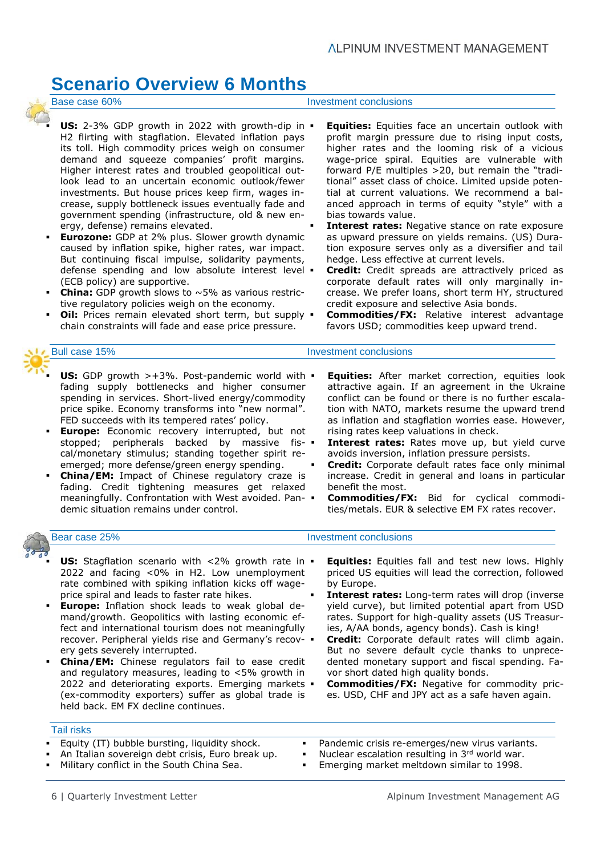## **Scenario Overview 6 Months**



### **US:** 2-3% GDP growth in 2022 with growth-dip in  $\blacksquare$ H2 flirting with stagflation. Elevated inflation pays its toll. High commodity prices weigh on consumer demand and squeeze companies' profit margins. Higher interest rates and troubled geopolitical outlook lead to an uncertain economic outlook/fewer investments. But house prices keep firm, wages increase, supply bottleneck issues eventually fade and government spending (infrastructure, old & new energy, defense) remains elevated.

- **Eurozone:** GDP at 2% plus. Slower growth dynamic caused by inflation spike, higher rates, war impact. But continuing fiscal impulse, solidarity payments, defense spending and low absolute interest level . (ECB policy) are supportive.
- **China:** GDP growth slows to  $\sim$  5% as various restrictive regulatory policies weigh on the economy.
- **Oil:** Prices remain elevated short term, but supply  $\bullet$ chain constraints will fade and ease price pressure.

- **US:** GDP growth >+3%. Post-pandemic world with  $\blacksquare$ fading supply bottlenecks and higher consumer spending in services. Short-lived energy/commodity price spike. Economy transforms into "new normal". FED succeeds with its tempered rates' policy.
- **Europe:** Economic recovery interrupted, but not stopped; peripherals backed by massive fiscal/monetary stimulus; standing together spirit reemerged; more defense/green energy spending.
- **China/EM:** Impact of Chinese regulatory craze is fading. Credit tightening measures get relaxed meaningfully. Confrontation with West avoided. Pandemic situation remains under control.

- **US:** Stagflation scenario with <2% growth rate in  $\blacksquare$ 2022 and facing <0% in H2. Low unemployment rate combined with spiking inflation kicks off wageprice spiral and leads to faster rate hikes.
- **Europe:** Inflation shock leads to weak global demand/growth. Geopolitics with lasting economic effect and international tourism does not meaningfully recover. Peripheral yields rise and Germany's recovery gets severely interrupted.
- **China/EM:** Chinese regulators fail to ease credit and regulatory measures, leading to <5% growth in 2022 and deteriorating exports. Emerging markets . (ex-commodity exporters) suffer as global trade is held back. EM FX decline continues.

### Tail risks

- Equity (IT) bubble bursting, liquidity shock.
- An Italian sovereign debt crisis, Euro break up.
- Military conflict in the South China Sea.

### Base case 60% **Investment conclusions**

- **Equities:** Equities face an uncertain outlook with profit margin pressure due to rising input costs, higher rates and the looming risk of a vicious wage-price spiral. Equities are vulnerable with forward P/E multiples >20, but remain the "traditional" asset class of choice. Limited upside potential at current valuations. We recommend a balanced approach in terms of equity "style" with a bias towards value.
- **Interest rates:** Negative stance on rate exposure as upward pressure on yields remains. (US) Duration exposure serves only as a diversifier and tail hedge. Less effective at current levels.
- **Credit:** Credit spreads are attractively priced as corporate default rates will only marginally increase. We prefer loans, short term HY, structured credit exposure and selective Asia bonds.
- **Commodities/FX:** Relative interest advantage favors USD; commodities keep upward trend.

### Bull case 15% Investment conclusions

- **Equities:** After market correction, equities look attractive again. If an agreement in the Ukraine conflict can be found or there is no further escalation with NATO, markets resume the upward trend as inflation and stagflation worries ease. However, rising rates keep valuations in check.
- **Interest rates:** Rates move up, but yield curve avoids inversion, inflation pressure persists.
- **Credit:** Corporate default rates face only minimal increase. Credit in general and loans in particular benefit the most.
- **Commodities/FX:** Bid for cyclical commodities/metals. EUR & selective EM FX rates recover.

- **Equities:** Equities fall and test new lows. Highly priced US equities will lead the correction, followed by Europe.
- Interest rates: Long-term rates will drop (inverse yield curve), but limited potential apart from USD rates. Support for high-quality assets (US Treasuries, A/AA bonds, agency bonds). Cash is king!
- Credit: Corporate default rates will climb again. But no severe default cycle thanks to unprecedented monetary support and fiscal spending. Favor short dated high quality bonds.
- **Commodities/FX:** Negative for commodity prices. USD, CHF and JPY act as a safe haven again.
- Pandemic crisis re-emerges/new virus variants.
- Nuclear escalation resulting in  $3<sup>rd</sup>$  world war.
- Emerging market meltdown similar to 1998.
- Bear case 25% **Investment conclusions Investment conclusions**
-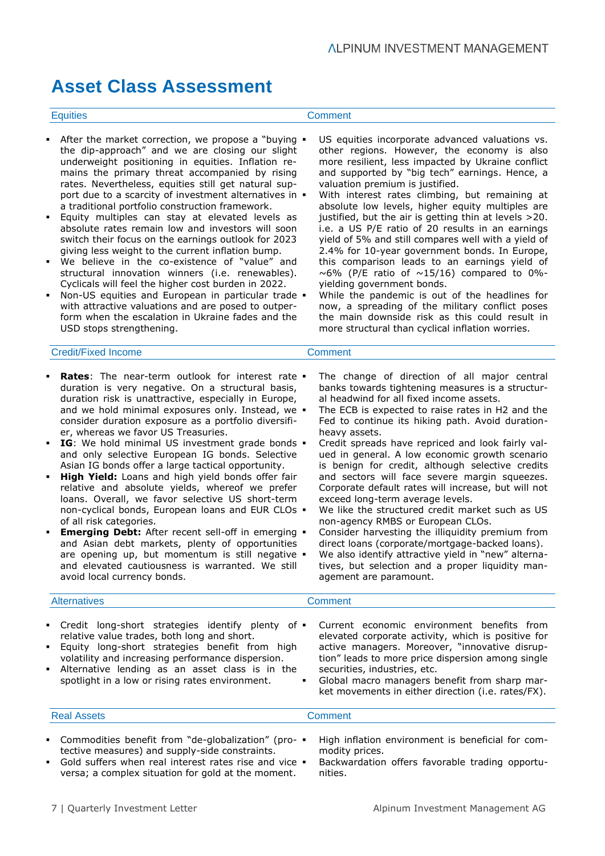## **Asset Class Assessment**

### Equities Comment

- After the market correction, we propose a "buying  $\bullet$ the dip-approach" and we are closing our slight underweight positioning in equities. Inflation remains the primary threat accompanied by rising rates. Nevertheless, equities still get natural support due to a scarcity of investment alternatives in  $\blacksquare$ a traditional portfolio construction framework.
- Equity multiples can stay at elevated levels as absolute rates remain low and investors will soon switch their focus on the earnings outlook for 2023 giving less weight to the current inflation bump.
- We believe in the co-existence of "value" and structural innovation winners (i.e. renewables). Cyclicals will feel the higher cost burden in 2022.
- Non-US equities and European in particular trade . with attractive valuations and are posed to outperform when the escalation in Ukraine fades and the USD stops strengthening.
- US equities incorporate advanced valuations vs. other regions. However, the economy is also more resilient, less impacted by Ukraine conflict and supported by "big tech" earnings. Hence, a valuation premium is justified.
- With interest rates climbing, but remaining at absolute low levels, higher equity multiples are justified, but the air is getting thin at levels >20. i.e. a US P/E ratio of 20 results in an earnings yield of 5% and still compares well with a yield of 2.4% for 10-year government bonds. In Europe, this comparison leads to an earnings yield of  $\sim$  6% (P/E ratio of  $\sim$  15/16) compared to 0%yielding government bonds.
- While the pandemic is out of the headlines for now, a spreading of the military conflict poses the main downside risk as this could result in more structural than cyclical inflation worries.

| <b>Credit/Fixed Income</b> |
|----------------------------|
|----------------------------|

- **Rates:** The near-term outlook for interest rate  $\blacksquare$ duration is very negative. On a structural basis, duration risk is unattractive, especially in Europe, and we hold minimal exposures only. Instead, we  $\blacksquare$ consider duration exposure as a portfolio diversifier, whereas we favor US Treasuries.
- **IG**: We hold minimal US investment grade bonds  $\blacksquare$ and only selective European IG bonds. Selective Asian IG bonds offer a large tactical opportunity.
- **High Yield:** Loans and high yield bonds offer fair relative and absolute yields, whereof we prefer loans. Overall, we favor selective US short-term non-cyclical bonds, European loans and EUR CLOs of all risk categories.
- **Emerging Debt:** After recent sell-off in emerging  $\cdot$ and Asian debt markets, plenty of opportunities are opening up, but momentum is still negative . and elevated cautiousness is warranted. We still avoid local currency bonds.
- The change of direction of all major central banks towards tightening measures is a structural headwind for all fixed income assets.
- The ECB is expected to raise rates in H2 and the Fed to continue its hiking path. Avoid durationheavy assets.
- Credit spreads have repriced and look fairly valued in general. A low economic growth scenario is benign for credit, although selective credits and sectors will face severe margin squeezes. Corporate default rates will increase, but will not exceed long-term average levels.
- We like the structured credit market such as US non-agency RMBS or European CLOs.
- Consider harvesting the illiquidity premium from direct loans (corporate/mortgage-backed loans).
- We also identify attractive yield in "new" alternatives, but selection and a proper liquidity management are paramount.

| <b>Alternatives</b>                                                                                                                                                                                                                                                                                                      | Comment                                                                                                                                                                                                                                                                                                                                             |  |  |
|--------------------------------------------------------------------------------------------------------------------------------------------------------------------------------------------------------------------------------------------------------------------------------------------------------------------------|-----------------------------------------------------------------------------------------------------------------------------------------------------------------------------------------------------------------------------------------------------------------------------------------------------------------------------------------------------|--|--|
| • Credit long-short strategies identify plenty of •<br>relative value trades, both long and short.<br><b>Equity long-short strategies benefit from high</b><br>volatility and increasing performance dispersion.<br>• Alternative lending as an asset class is in the<br>spotlight in a low or rising rates environment. | Current economic environment benefits from<br>elevated corporate activity, which is positive for<br>active managers. Moreover, "innovative disrup-<br>tion" leads to more price dispersion among single<br>securities, industries, etc.<br>Global macro managers benefit from sharp mar-<br>٠<br>ket movements in either direction (i.e. rates/FX). |  |  |
| <b>Real Assets</b>                                                                                                                                                                                                                                                                                                       | Comment                                                                                                                                                                                                                                                                                                                                             |  |  |
| Commodities benefit from "de-alobalization" (pro- • High inflation environment is beneficial for com-                                                                                                                                                                                                                    |                                                                                                                                                                                                                                                                                                                                                     |  |  |

- Commodities benefit from "de-globalization" (protective measures) and supply-side constraints.
- Gold suffers when real interest rates rise and vice  $\blacksquare$ versa; a complex situation for gold at the moment.
- High inflation environment is beneficial for com modity prices.
- Backwardation offers favorable trading opportunities.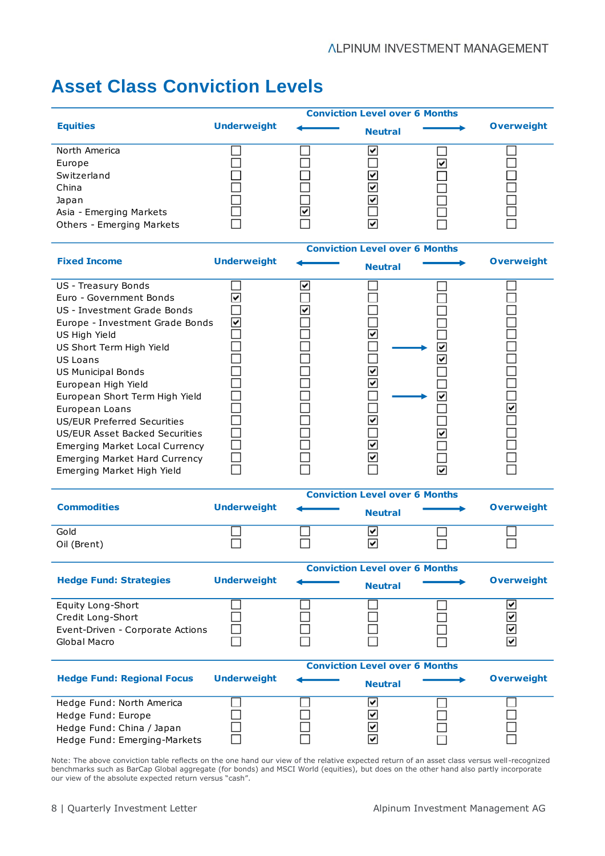## **Asset Class Conviction Levels**

|                                       | <b>Conviction Level over 6 Months</b> |                                                            |                |  |                   |  |
|---------------------------------------|---------------------------------------|------------------------------------------------------------|----------------|--|-------------------|--|
| <b>Equities</b>                       | <b>Underweight</b>                    |                                                            | <b>Neutral</b> |  | <b>Overweight</b> |  |
| North America                         |                                       |                                                            | է              |  |                   |  |
| Europe                                |                                       |                                                            |                |  |                   |  |
| Switzerland                           |                                       |                                                            |                |  |                   |  |
| China                                 |                                       |                                                            |                |  |                   |  |
| Japan                                 |                                       |                                                            |                |  |                   |  |
| Asia - Emerging Markets               |                                       |                                                            |                |  |                   |  |
| Others - Emerging Markets             |                                       |                                                            |                |  |                   |  |
|                                       |                                       | <b>Conviction Level over 6 Months</b>                      |                |  |                   |  |
| <b>Fixed Income</b>                   | <b>Underweight</b>                    |                                                            | <b>Neutral</b> |  | <b>Overweight</b> |  |
| US - Treasury Bonds                   |                                       |                                                            |                |  |                   |  |
| Euro - Government Bonds               |                                       |                                                            |                |  |                   |  |
| US - Investment Grade Bonds           |                                       |                                                            |                |  |                   |  |
| Europe - Investment Grade Bonds       |                                       |                                                            |                |  |                   |  |
| US High Yield                         |                                       |                                                            |                |  |                   |  |
| US Short Term High Yield              |                                       |                                                            |                |  |                   |  |
| <b>US Loans</b>                       |                                       |                                                            |                |  |                   |  |
| US Municipal Bonds                    |                                       |                                                            |                |  |                   |  |
| European High Yield                   |                                       |                                                            |                |  |                   |  |
| European Short Term High Yield        |                                       |                                                            |                |  |                   |  |
| European Loans                        |                                       |                                                            |                |  |                   |  |
| US/EUR Preferred Securities           |                                       |                                                            |                |  |                   |  |
| US/EUR Asset Backed Securities        |                                       |                                                            |                |  |                   |  |
| <b>Emerging Market Local Currency</b> |                                       |                                                            |                |  |                   |  |
| <b>Emerging Market Hard Currency</b>  |                                       |                                                            |                |  |                   |  |
| Emerging Market High Yield            |                                       |                                                            |                |  |                   |  |
|                                       |                                       |                                                            |                |  |                   |  |
| <b>Commodities</b>                    | <b>Underweight</b>                    | <b>Conviction Level over 6 Months</b>                      |                |  | <b>Overweight</b> |  |
|                                       |                                       |                                                            | <b>Neutral</b> |  |                   |  |
| Gold                                  |                                       |                                                            | ☑              |  |                   |  |
| Oil (Brent)                           |                                       |                                                            | ⊽              |  |                   |  |
|                                       |                                       | <b>Conviction Level over 6 Months</b>                      |                |  |                   |  |
| <b>Hedge Fund: Strategies</b>         | <b>Underweight</b>                    |                                                            | <b>Neutral</b> |  | <b>Overweight</b> |  |
| Equity Long-Short                     |                                       |                                                            |                |  | ⊻                 |  |
| Credit Long-Short                     |                                       |                                                            |                |  |                   |  |
| Event-Driven - Corporate Actions      |                                       |                                                            |                |  | যায               |  |
| Global Macro                          |                                       |                                                            |                |  |                   |  |
|                                       |                                       |                                                            |                |  |                   |  |
| <b>Hedge Fund: Regional Focus</b>     | <b>Underweight</b>                    | <b>Conviction Level over 6 Months</b><br><b>Overweight</b> |                |  |                   |  |
|                                       |                                       |                                                            | <b>Neutral</b> |  |                   |  |
| Hedge Fund: North America             |                                       |                                                            | ☑              |  |                   |  |
| Hedge Fund: Europe                    |                                       |                                                            |                |  |                   |  |
| Hedge Fund: China / Japan             |                                       |                                                            | যায            |  |                   |  |
| Hedge Fund: Emerging-Markets          |                                       |                                                            |                |  |                   |  |

Note: The above conviction table reflects on the one hand our view of the relative expected return of an asset class versus well-recognized benchmarks such as BarCap Global aggregate (for bonds) and MSCI World (equities), but does on the other hand also partly incorporate our view of the absolute expected return versus "cash".